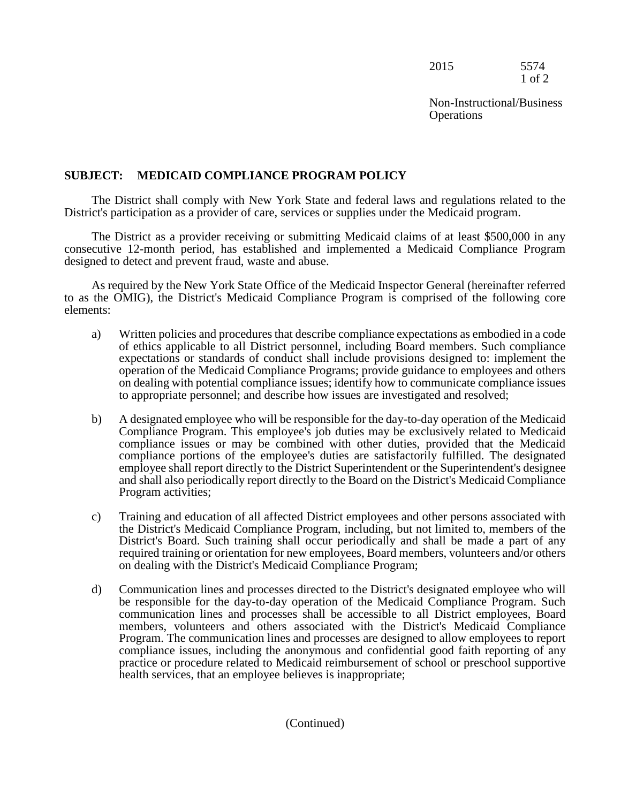| 2015 | 5574       |
|------|------------|
|      | $1$ of $2$ |

## **SUBJECT: MEDICAID COMPLIANCE PROGRAM POLICY**

The District shall comply with New York State and federal laws and regulations related to the District's participation as a provider of care, services or supplies under the Medicaid program.

The District as a provider receiving or submitting Medicaid claims of at least \$500,000 in any consecutive 12-month period, has established and implemented a Medicaid Compliance Program designed to detect and prevent fraud, waste and abuse.

As required by the New York State Office of the Medicaid Inspector General (hereinafter referred to as the OMIG), the District's Medicaid Compliance Program is comprised of the following core elements:

- a) Written policies and procedures that describe compliance expectations as embodied in a code of ethics applicable to all District personnel, including Board members. Such compliance expectations or standards of conduct shall include provisions designed to: implement the operation of the Medicaid Compliance Programs; provide guidance to employees and others on dealing with potential compliance issues; identify how to communicate compliance issues to appropriate personnel; and describe how issues are investigated and resolved;
- b) A designated employee who will be responsible for the day-to-day operation of the Medicaid Compliance Program. This employee's job duties may be exclusively related to Medicaid compliance issues or may be combined with other duties, provided that the Medicaid compliance portions of the employee's duties are satisfactorily fulfilled. The designated employee shall report directly to the District Superintendent or the Superintendent's designee and shall also periodically report directly to the Board on the District's Medicaid Compliance Program activities;
- c) Training and education of all affected District employees and other persons associated with the District's Medicaid Compliance Program, including, but not limited to, members of the District's Board. Such training shall occur periodically and shall be made a part of any required training or orientation for new employees, Board members, volunteers and/or others on dealing with the District's Medicaid Compliance Program;
- d) Communication lines and processes directed to the District's designated employee who will be responsible for the day-to-day operation of the Medicaid Compliance Program. Such communication lines and processes shall be accessible to all District employees, Board members, volunteers and others associated with the District's Medicaid Compliance Program. The communication lines and processes are designed to allow employees to report compliance issues, including the anonymous and confidential good faith reporting of any practice or procedure related to Medicaid reimbursement of school or preschool supportive health services, that an employee believes is inappropriate;